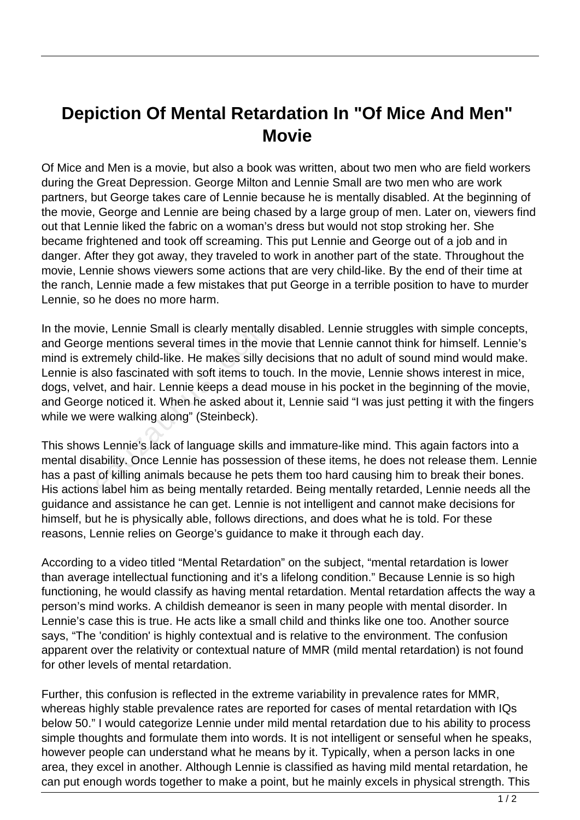## **Depiction Of Mental Retardation In "Of Mice And Men" Movie**

Of Mice and Men is a movie, but also a book was written, about two men who are field workers during the Great Depression. George Milton and Lennie Small are two men who are work partners, but George takes care of Lennie because he is mentally disabled. At the beginning of the movie, George and Lennie are being chased by a large group of men. Later on, viewers find out that Lennie liked the fabric on a woman's dress but would not stop stroking her. She became frightened and took off screaming. This put Lennie and George out of a job and in danger. After they got away, they traveled to work in another part of the state. Throughout the movie, Lennie shows viewers some actions that are very child-like. By the end of their time at the ranch, Lennie made a few mistakes that put George in a terrible position to have to murder Lennie, so he does no more harm.

In the movie, Lennie Small is clearly mentally disabled. Lennie struggles with simple concepts, and George mentions several times in the movie that Lennie cannot think for himself. Lennie's mind is extremely child-like. He makes silly decisions that no adult of sound mind would make. Lennie is also fascinated with soft items to touch. In the movie, Lennie shows interest in mice, dogs, velvet, and hair. Lennie keeps a dead mouse in his pocket in the beginning of the movie, and George noticed it. When he asked about it, Lennie said "I was just petting it with the fingers while we were walking along" (Steinbeck). ie, Lennie Small is clearly mentall<br>le mentions several times in the m<br>tremely child-like. He makes silly d<br>lso fascinated with soft items to to<br>tet, and hair. Lennie keeps a dead<br>le noticed it. When he asked abou<br>vere wal

This shows Lennie's lack of language skills and immature-like mind. This again factors into a mental disability. Once Lennie has possession of these items, he does not release them. Lennie has a past of killing animals because he pets them too hard causing him to break their bones. His actions label him as being mentally retarded. Being mentally retarded, Lennie needs all the guidance and assistance he can get. Lennie is not intelligent and cannot make decisions for himself, but he is physically able, follows directions, and does what he is told. For these reasons, Lennie relies on George's guidance to make it through each day.

According to a video titled "Mental Retardation" on the subject, "mental retardation is lower than average intellectual functioning and it's a lifelong condition." Because Lennie is so high functioning, he would classify as having mental retardation. Mental retardation affects the way a person's mind works. A childish demeanor is seen in many people with mental disorder. In Lennie's case this is true. He acts like a small child and thinks like one too. Another source says, "The 'condition' is highly contextual and is relative to the environment. The confusion apparent over the relativity or contextual nature of MMR (mild mental retardation) is not found for other levels of mental retardation.

Further, this confusion is reflected in the extreme variability in prevalence rates for MMR, whereas highly stable prevalence rates are reported for cases of mental retardation with IQs below 50." I would categorize Lennie under mild mental retardation due to his ability to process simple thoughts and formulate them into words. It is not intelligent or senseful when he speaks, however people can understand what he means by it. Typically, when a person lacks in one area, they excel in another. Although Lennie is classified as having mild mental retardation, he can put enough words together to make a point, but he mainly excels in physical strength. This